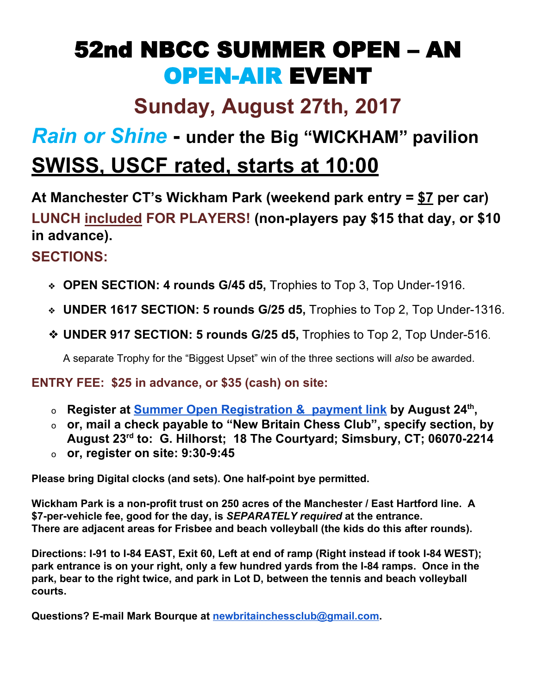## 52nd NBCC SUMMER OPEN – AN OPEN-AIR EVENT

## **Sunday, August 27th, 2017**

## *Rain or Shine* **- under the Big "WICKHAM" pavilion SWISS, USCF rated, starts at 10:00**

**At Manchester CT's Wickham Park (weekend park entry = \$7 per car) LUNCH included FOR PLAYERS! (non-players pay \$15 that day, or \$10 in advance).**

## **SECTIONS:**

- ❖ **OPEN SECTION: 4 rounds G/45 d5,** Trophies to Top 3, Top Under-1916.
- ❖ **UNDER 1617 SECTION: 5 rounds G/25 d5,** Trophies to Top 2, Top Under-1316.
- ❖ **UNDER 917 SECTION: 5 rounds G/25 d5,** Trophies to Top 2, Top Under-516.

A separate Trophy for the "Biggest Upset" win of the three sections will *also* be awarded.

**ENTRY FEE: \$25 in advance, or \$35 (cash) on site:**

- <sup>o</sup> **Register at Summer Open [Registration](http://www.ctchess.com/nbcc/nbccmenuitem.php?lm=nbccabout.lm&caller=nbccabout&text=Tournaments) & payment link by August 24 th ,**
- o **or, mail a check payable to "New Britain Chess Club", specify section, by August 23 rd to: G. Hilhorst; 18 The Courtyard; Simsbury, CT; 06070-2214**
- o **or, register on site: 9:30-9:45**

**Please bring Digital clocks (and sets). One half-point bye permitted.**

**Wickham Park is a non-profit trust on 250 acres of the Manchester / East Hartford line. A \$7-per-vehicle fee, good for the day, is** *SEPARATELY required* **at the entrance. There are adjacent areas for Frisbee and beach volleyball (the kids do this after rounds).**

**Directions: I-91 to I-84 EAST, Exit 60, Left at end of ramp (Right instead if took I-84 WEST); park entrance is on your right, only a few hundred yards from the I-84 ramps. Once in the park, bear to the right twice, and park in Lot D, between the tennis and beach volleyball courts.**

**Questions? E-mail Mark Bourque at [newbritainchessclub@gmail.com](mailto:newbritainchessclub@gmail.com).**